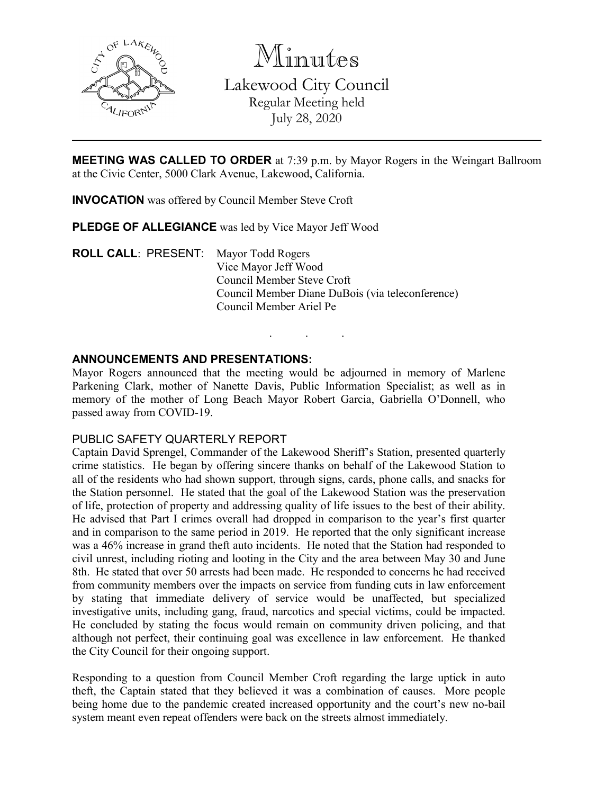

Minutes Lakewood City Council Regular Meeting held July 28, 2020

**MEETING WAS CALLED TO ORDER** at 7:39 p.m. by Mayor Rogers in the Weingart Ballroom at the Civic Center, 5000 Clark Avenue, Lakewood, California.

**INVOCATION** was offered by Council Member Steve Croft

**PLEDGE OF ALLEGIANCE** was led by Vice Mayor Jeff Wood

**ROLL CALL**: PRESENT: Mayor Todd Rogers Vice Mayor Jeff Wood Council Member Steve Croft Council Member Diane DuBois (via teleconference) Council Member Ariel Pe

## **ANNOUNCEMENTS AND PRESENTATIONS:**

Mayor Rogers announced that the meeting would be adjourned in memory of Marlene Parkening Clark, mother of Nanette Davis, Public Information Specialist; as well as in memory of the mother of Long Beach Mayor Robert Garcia, Gabriella O'Donnell, who passed away from COVID-19.

. . .

#### PUBLIC SAFETY QUARTERLY REPORT

Captain David Sprengel, Commander of the Lakewood Sheriff's Station, presented quarterly crime statistics. He began by offering sincere thanks on behalf of the Lakewood Station to all of the residents who had shown support, through signs, cards, phone calls, and snacks for the Station personnel. He stated that the goal of the Lakewood Station was the preservation of life, protection of property and addressing quality of life issues to the best of their ability. He advised that Part I crimes overall had dropped in comparison to the year's first quarter and in comparison to the same period in 2019. He reported that the only significant increase was a 46% increase in grand theft auto incidents. He noted that the Station had responded to civil unrest, including rioting and looting in the City and the area between May 30 and June 8th. He stated that over 50 arrests had been made. He responded to concerns he had received from community members over the impacts on service from funding cuts in law enforcement by stating that immediate delivery of service would be unaffected, but specialized investigative units, including gang, fraud, narcotics and special victims, could be impacted. He concluded by stating the focus would remain on community driven policing, and that although not perfect, their continuing goal was excellence in law enforcement. He thanked the City Council for their ongoing support.

Responding to a question from Council Member Croft regarding the large uptick in auto theft, the Captain stated that they believed it was a combination of causes. More people being home due to the pandemic created increased opportunity and the court's new no-bail system meant even repeat offenders were back on the streets almost immediately.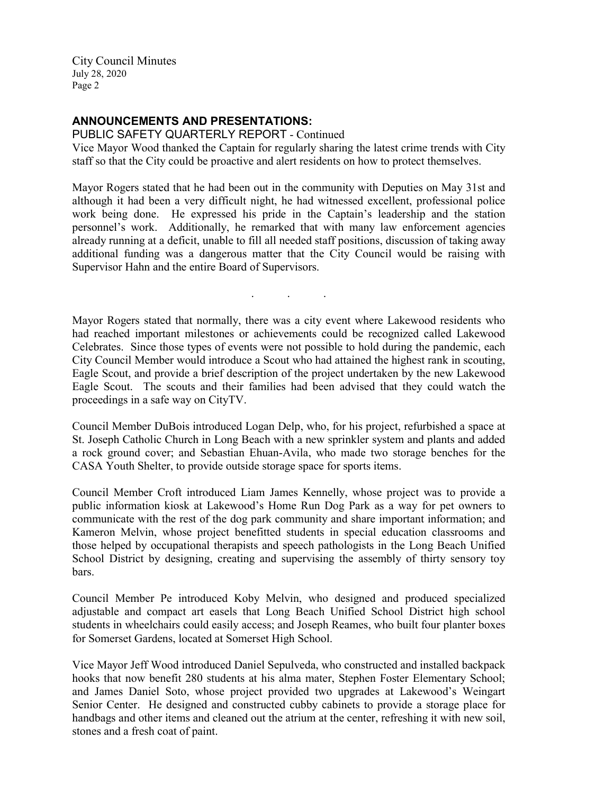## **ANNOUNCEMENTS AND PRESENTATIONS:**

PUBLIC SAFETY QUARTERLY REPORT - Continued Vice Mayor Wood thanked the Captain for regularly sharing the latest crime trends with City staff so that the City could be proactive and alert residents on how to protect themselves.

Mayor Rogers stated that he had been out in the community with Deputies on May 31st and although it had been a very difficult night, he had witnessed excellent, professional police work being done. He expressed his pride in the Captain's leadership and the station personnel's work. Additionally, he remarked that with many law enforcement agencies already running at a deficit, unable to fill all needed staff positions, discussion of taking away additional funding was a dangerous matter that the City Council would be raising with Supervisor Hahn and the entire Board of Supervisors.

Mayor Rogers stated that normally, there was a city event where Lakewood residents who had reached important milestones or achievements could be recognized called Lakewood Celebrates. Since those types of events were not possible to hold during the pandemic, each City Council Member would introduce a Scout who had attained the highest rank in scouting, Eagle Scout, and provide a brief description of the project undertaken by the new Lakewood Eagle Scout. The scouts and their families had been advised that they could watch the proceedings in a safe way on CityTV.

. . .

Council Member DuBois introduced Logan Delp, who, for his project, refurbished a space at St. Joseph Catholic Church in Long Beach with a new sprinkler system and plants and added a rock ground cover; and Sebastian Ehuan-Avila, who made two storage benches for the CASA Youth Shelter, to provide outside storage space for sports items.

Council Member Croft introduced Liam James Kennelly, whose project was to provide a public information kiosk at Lakewood's Home Run Dog Park as a way for pet owners to communicate with the rest of the dog park community and share important information; and Kameron Melvin, whose project benefitted students in special education classrooms and those helped by occupational therapists and speech pathologists in the Long Beach Unified School District by designing, creating and supervising the assembly of thirty sensory toy bars.

Council Member Pe introduced Koby Melvin, who designed and produced specialized adjustable and compact art easels that Long Beach Unified School District high school students in wheelchairs could easily access; and Joseph Reames, who built four planter boxes for Somerset Gardens, located at Somerset High School.

Vice Mayor Jeff Wood introduced Daniel Sepulveda, who constructed and installed backpack hooks that now benefit 280 students at his alma mater, Stephen Foster Elementary School; and James Daniel Soto, whose project provided two upgrades at Lakewood's Weingart Senior Center. He designed and constructed cubby cabinets to provide a storage place for handbags and other items and cleaned out the atrium at the center, refreshing it with new soil, stones and a fresh coat of paint.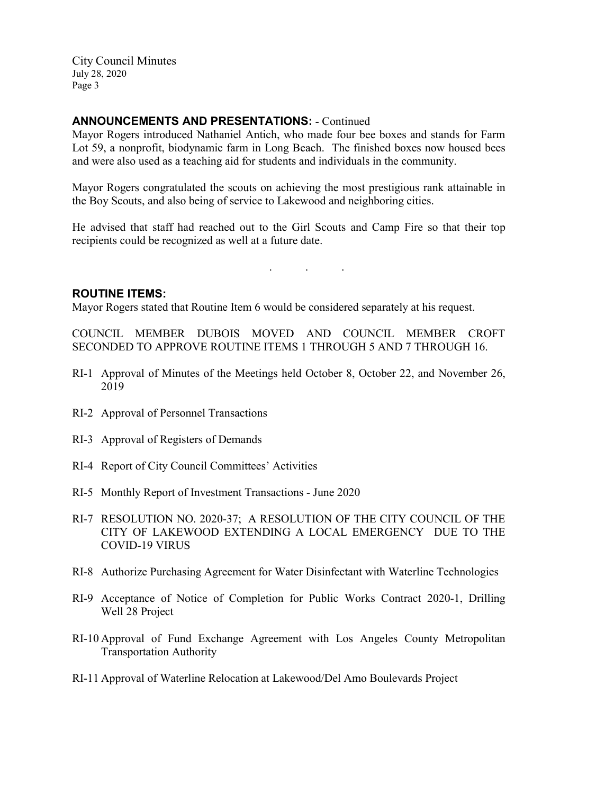### **ANNOUNCEMENTS AND PRESENTATIONS:** - Continued

Mayor Rogers introduced Nathaniel Antich, who made four bee boxes and stands for Farm Lot 59, a nonprofit, biodynamic farm in Long Beach. The finished boxes now housed bees and were also used as a teaching aid for students and individuals in the community.

Mayor Rogers congratulated the scouts on achieving the most prestigious rank attainable in the Boy Scouts, and also being of service to Lakewood and neighboring cities.

He advised that staff had reached out to the Girl Scouts and Camp Fire so that their top recipients could be recognized as well at a future date.

. . .

## **ROUTINE ITEMS:**

Mayor Rogers stated that Routine Item 6 would be considered separately at his request.

COUNCIL MEMBER DUBOIS MOVED AND COUNCIL MEMBER CROFT SECONDED TO APPROVE ROUTINE ITEMS 1 THROUGH 5 AND 7 THROUGH 16.

- RI-1 Approval of Minutes of the Meetings held October 8, October 22, and November 26, 2019
- RI-2 Approval of Personnel Transactions
- RI-3 Approval of Registers of Demands
- RI-4 Report of City Council Committees' Activities
- RI-5 Monthly Report of Investment Transactions June 2020
- RI-7 RESOLUTION NO. 2020-37; A RESOLUTION OF THE CITY COUNCIL OF THE CITY OF LAKEWOOD EXTENDING A LOCAL EMERGENCY DUE TO THE COVID-19 VIRUS
- RI-8 Authorize Purchasing Agreement for Water Disinfectant with Waterline Technologies
- RI-9 Acceptance of Notice of Completion for Public Works Contract 2020-1, Drilling Well 28 Project
- RI-10 Approval of Fund Exchange Agreement with Los Angeles County Metropolitan Transportation Authority
- RI-11 Approval of Waterline Relocation at Lakewood/Del Amo Boulevards Project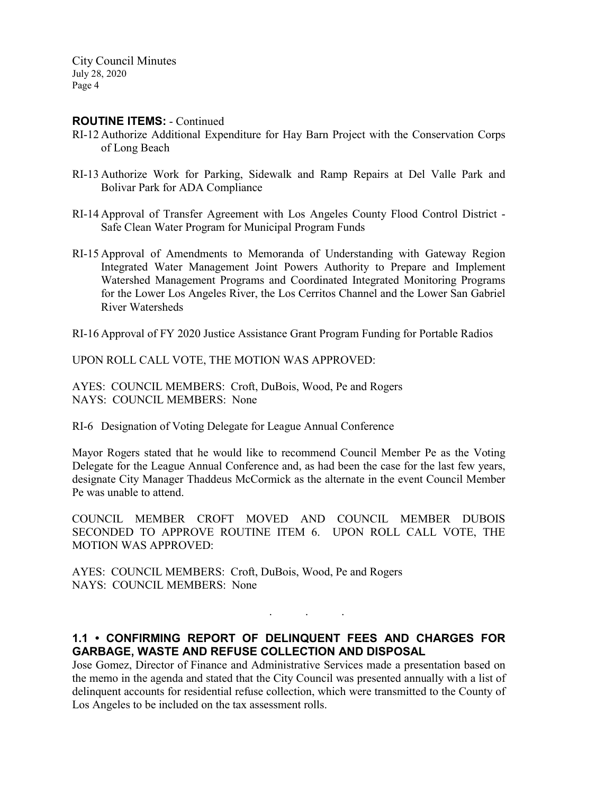#### **ROUTINE ITEMS:** - Continued

- RI-12 Authorize Additional Expenditure for Hay Barn Project with the Conservation Corps of Long Beach
- RI-13 Authorize Work for Parking, Sidewalk and Ramp Repairs at Del Valle Park and Bolivar Park for ADA Compliance
- RI-14 Approval of Transfer Agreement with Los Angeles County Flood Control District Safe Clean Water Program for Municipal Program Funds
- RI-15 Approval of Amendments to Memoranda of Understanding with Gateway Region Integrated Water Management Joint Powers Authority to Prepare and Implement Watershed Management Programs and Coordinated Integrated Monitoring Programs for the Lower Los Angeles River, the Los Cerritos Channel and the Lower San Gabriel River Watersheds

RI-16 Approval of FY 2020 Justice Assistance Grant Program Funding for Portable Radios

UPON ROLL CALL VOTE, THE MOTION WAS APPROVED:

AYES: COUNCIL MEMBERS: Croft, DuBois, Wood, Pe and Rogers NAYS: COUNCIL MEMBERS: None

RI-6 Designation of Voting Delegate for League Annual Conference

Mayor Rogers stated that he would like to recommend Council Member Pe as the Voting Delegate for the League Annual Conference and, as had been the case for the last few years, designate City Manager Thaddeus McCormick as the alternate in the event Council Member Pe was unable to attend.

COUNCIL MEMBER CROFT MOVED AND COUNCIL MEMBER DUBOIS SECONDED TO APPROVE ROUTINE ITEM 6. UPON ROLL CALL VOTE, THE MOTION WAS APPROVED:

AYES: COUNCIL MEMBERS: Croft, DuBois, Wood, Pe and Rogers NAYS: COUNCIL MEMBERS: None

# **1.1 • CONFIRMING REPORT OF DELINQUENT FEES AND CHARGES FOR GARBAGE, WASTE AND REFUSE COLLECTION AND DISPOSAL**

. . .

Jose Gomez, Director of Finance and Administrative Services made a presentation based on the memo in the agenda and stated that the City Council was presented annually with a list of delinquent accounts for residential refuse collection, which were transmitted to the County of Los Angeles to be included on the tax assessment rolls.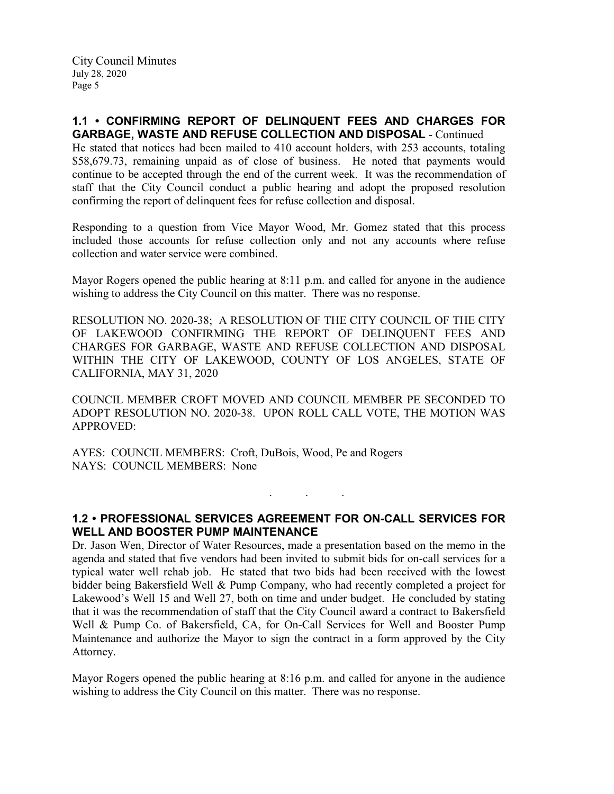# **1.1 • CONFIRMING REPORT OF DELINQUENT FEES AND CHARGES FOR GARBAGE, WASTE AND REFUSE COLLECTION AND DISPOSAL** - Continued

He stated that notices had been mailed to 410 account holders, with 253 accounts, totaling \$58,679.73, remaining unpaid as of close of business. He noted that payments would continue to be accepted through the end of the current week. It was the recommendation of staff that the City Council conduct a public hearing and adopt the proposed resolution confirming the report of delinquent fees for refuse collection and disposal.

Responding to a question from Vice Mayor Wood, Mr. Gomez stated that this process included those accounts for refuse collection only and not any accounts where refuse collection and water service were combined.

Mayor Rogers opened the public hearing at 8:11 p.m. and called for anyone in the audience wishing to address the City Council on this matter. There was no response.

RESOLUTION NO. 2020-38; A RESOLUTION OF THE CITY COUNCIL OF THE CITY OF LAKEWOOD CONFIRMING THE REPORT OF DELINQUENT FEES AND CHARGES FOR GARBAGE, WASTE AND REFUSE COLLECTION AND DISPOSAL WITHIN THE CITY OF LAKEWOOD, COUNTY OF LOS ANGELES, STATE OF CALIFORNIA, MAY 31, 2020

COUNCIL MEMBER CROFT MOVED AND COUNCIL MEMBER PE SECONDED TO ADOPT RESOLUTION NO. 2020-38. UPON ROLL CALL VOTE, THE MOTION WAS APPROVED:

AYES: COUNCIL MEMBERS: Croft, DuBois, Wood, Pe and Rogers NAYS: COUNCIL MEMBERS: None

## **1.2 • PROFESSIONAL SERVICES AGREEMENT FOR ON-CALL SERVICES FOR WELL AND BOOSTER PUMP MAINTENANCE**

. . .

Dr. Jason Wen, Director of Water Resources, made a presentation based on the memo in the agenda and stated that five vendors had been invited to submit bids for on-call services for a typical water well rehab job. He stated that two bids had been received with the lowest bidder being Bakersfield Well & Pump Company, who had recently completed a project for Lakewood's Well 15 and Well 27, both on time and under budget. He concluded by stating that it was the recommendation of staff that the City Council award a contract to Bakersfield Well & Pump Co. of Bakersfield, CA, for On-Call Services for Well and Booster Pump Maintenance and authorize the Mayor to sign the contract in a form approved by the City Attorney.

Mayor Rogers opened the public hearing at 8:16 p.m. and called for anyone in the audience wishing to address the City Council on this matter. There was no response.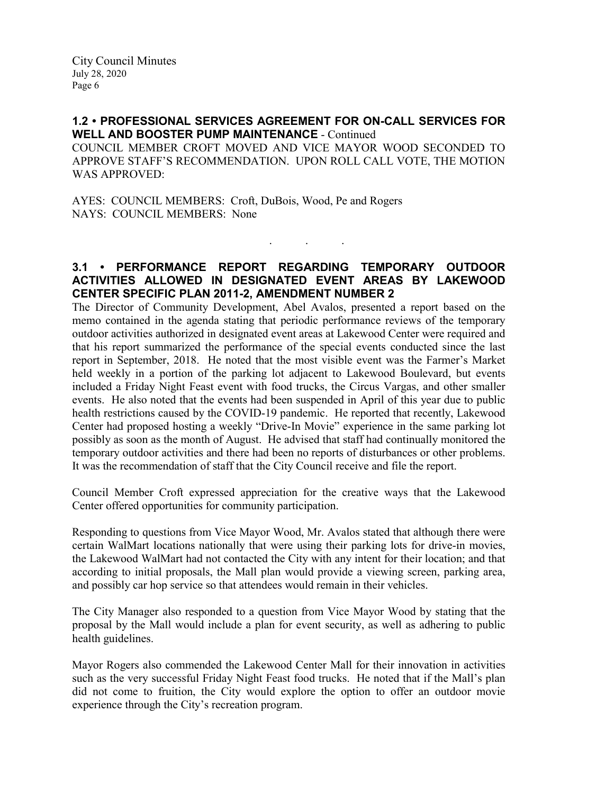## **1.2 • PROFESSIONAL SERVICES AGREEMENT FOR ON-CALL SERVICES FOR WELL AND BOOSTER PUMP MAINTENANCE** - Continued

COUNCIL MEMBER CROFT MOVED AND VICE MAYOR WOOD SECONDED TO APPROVE STAFF'S RECOMMENDATION. UPON ROLL CALL VOTE, THE MOTION WAS APPROVED:

AYES: COUNCIL MEMBERS: Croft, DuBois, Wood, Pe and Rogers NAYS: COUNCIL MEMBERS: None

# **3.1 • PERFORMANCE REPORT REGARDING TEMPORARY OUTDOOR ACTIVITIES ALLOWED IN DESIGNATED EVENT AREAS BY LAKEWOOD CENTER SPECIFIC PLAN 2011-2, AMENDMENT NUMBER 2**

. . .

The Director of Community Development, Abel Avalos, presented a report based on the memo contained in the agenda stating that periodic performance reviews of the temporary outdoor activities authorized in designated event areas at Lakewood Center were required and that his report summarized the performance of the special events conducted since the last report in September, 2018. He noted that the most visible event was the Farmer's Market held weekly in a portion of the parking lot adjacent to Lakewood Boulevard, but events included a Friday Night Feast event with food trucks, the Circus Vargas, and other smaller events. He also noted that the events had been suspended in April of this year due to public health restrictions caused by the COVID-19 pandemic. He reported that recently, Lakewood Center had proposed hosting a weekly "Drive-In Movie" experience in the same parking lot possibly as soon as the month of August. He advised that staff had continually monitored the temporary outdoor activities and there had been no reports of disturbances or other problems. It was the recommendation of staff that the City Council receive and file the report.

Council Member Croft expressed appreciation for the creative ways that the Lakewood Center offered opportunities for community participation.

Responding to questions from Vice Mayor Wood, Mr. Avalos stated that although there were certain WalMart locations nationally that were using their parking lots for drive-in movies, the Lakewood WalMart had not contacted the City with any intent for their location; and that according to initial proposals, the Mall plan would provide a viewing screen, parking area, and possibly car hop service so that attendees would remain in their vehicles.

The City Manager also responded to a question from Vice Mayor Wood by stating that the proposal by the Mall would include a plan for event security, as well as adhering to public health guidelines.

Mayor Rogers also commended the Lakewood Center Mall for their innovation in activities such as the very successful Friday Night Feast food trucks. He noted that if the Mall's plan did not come to fruition, the City would explore the option to offer an outdoor movie experience through the City's recreation program.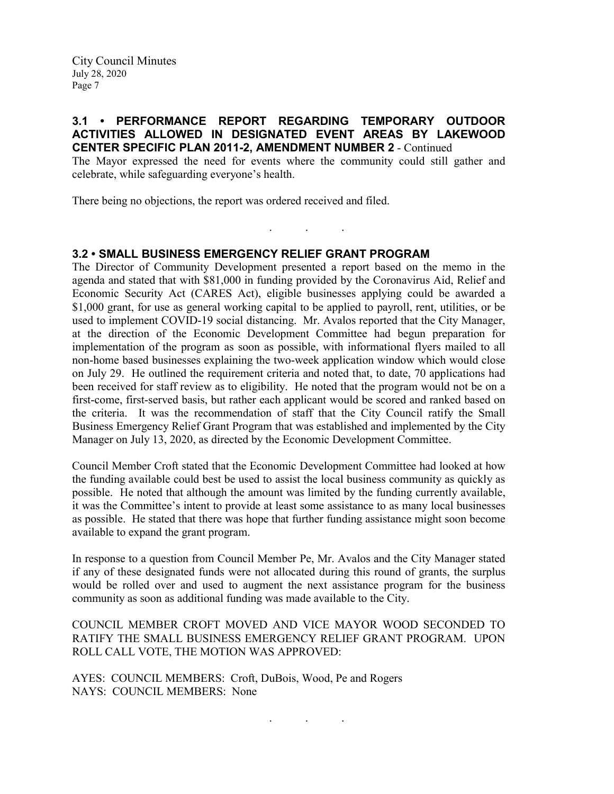## **3.1 • PERFORMANCE REPORT REGARDING TEMPORARY OUTDOOR ACTIVITIES ALLOWED IN DESIGNATED EVENT AREAS BY LAKEWOOD CENTER SPECIFIC PLAN 2011-2, AMENDMENT NUMBER 2** - Continued

The Mayor expressed the need for events where the community could still gather and celebrate, while safeguarding everyone's health.

. . .

There being no objections, the report was ordered received and filed.

## **3.2 • SMALL BUSINESS EMERGENCY RELIEF GRANT PROGRAM**

The Director of Community Development presented a report based on the memo in the agenda and stated that with \$81,000 in funding provided by the Coronavirus Aid, Relief and Economic Security Act (CARES Act), eligible businesses applying could be awarded a \$1,000 grant, for use as general working capital to be applied to payroll, rent, utilities, or be used to implement COVID-19 social distancing. Mr. Avalos reported that the City Manager, at the direction of the Economic Development Committee had begun preparation for implementation of the program as soon as possible, with informational flyers mailed to all non-home based businesses explaining the two-week application window which would close on July 29. He outlined the requirement criteria and noted that, to date, 70 applications had been received for staff review as to eligibility. He noted that the program would not be on a first-come, first-served basis, but rather each applicant would be scored and ranked based on the criteria. It was the recommendation of staff that the City Council ratify the Small Business Emergency Relief Grant Program that was established and implemented by the City Manager on July 13, 2020, as directed by the Economic Development Committee.

Council Member Croft stated that the Economic Development Committee had looked at how the funding available could best be used to assist the local business community as quickly as possible. He noted that although the amount was limited by the funding currently available, it was the Committee's intent to provide at least some assistance to as many local businesses as possible. He stated that there was hope that further funding assistance might soon become available to expand the grant program.

In response to a question from Council Member Pe, Mr. Avalos and the City Manager stated if any of these designated funds were not allocated during this round of grants, the surplus would be rolled over and used to augment the next assistance program for the business community as soon as additional funding was made available to the City.

COUNCIL MEMBER CROFT MOVED AND VICE MAYOR WOOD SECONDED TO RATIFY THE SMALL BUSINESS EMERGENCY RELIEF GRANT PROGRAM. UPON ROLL CALL VOTE, THE MOTION WAS APPROVED:

. . .

AYES: COUNCIL MEMBERS: Croft, DuBois, Wood, Pe and Rogers NAYS: COUNCIL MEMBERS: None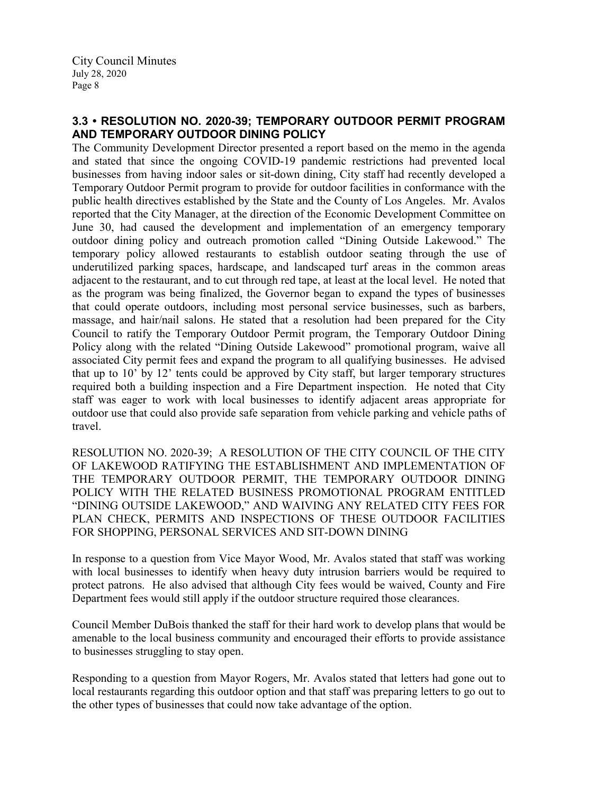# **3.3 • RESOLUTION NO. 2020-39; TEMPORARY OUTDOOR PERMIT PROGRAM AND TEMPORARY OUTDOOR DINING POLICY**

The Community Development Director presented a report based on the memo in the agenda and stated that since the ongoing COVID-19 pandemic restrictions had prevented local businesses from having indoor sales or sit-down dining, City staff had recently developed a Temporary Outdoor Permit program to provide for outdoor facilities in conformance with the public health directives established by the State and the County of Los Angeles. Mr. Avalos reported that the City Manager, at the direction of the Economic Development Committee on June 30, had caused the development and implementation of an emergency temporary outdoor dining policy and outreach promotion called "Dining Outside Lakewood." The temporary policy allowed restaurants to establish outdoor seating through the use of underutilized parking spaces, hardscape, and landscaped turf areas in the common areas adjacent to the restaurant, and to cut through red tape, at least at the local level. He noted that as the program was being finalized, the Governor began to expand the types of businesses that could operate outdoors, including most personal service businesses, such as barbers, massage, and hair/nail salons. He stated that a resolution had been prepared for the City Council to ratify the Temporary Outdoor Permit program, the Temporary Outdoor Dining Policy along with the related "Dining Outside Lakewood" promotional program, waive all associated City permit fees and expand the program to all qualifying businesses. He advised that up to 10' by 12' tents could be approved by City staff, but larger temporary structures required both a building inspection and a Fire Department inspection. He noted that City staff was eager to work with local businesses to identify adjacent areas appropriate for outdoor use that could also provide safe separation from vehicle parking and vehicle paths of travel.

RESOLUTION NO. 2020-39; A RESOLUTION OF THE CITY COUNCIL OF THE CITY OF LAKEWOOD RATIFYING THE ESTABLISHMENT AND IMPLEMENTATION OF THE TEMPORARY OUTDOOR PERMIT, THE TEMPORARY OUTDOOR DINING POLICY WITH THE RELATED BUSINESS PROMOTIONAL PROGRAM ENTITLED "DINING OUTSIDE LAKEWOOD," AND WAIVING ANY RELATED CITY FEES FOR PLAN CHECK, PERMITS AND INSPECTIONS OF THESE OUTDOOR FACILITIES FOR SHOPPING, PERSONAL SERVICES AND SIT-DOWN DINING

In response to a question from Vice Mayor Wood, Mr. Avalos stated that staff was working with local businesses to identify when heavy duty intrusion barriers would be required to protect patrons. He also advised that although City fees would be waived, County and Fire Department fees would still apply if the outdoor structure required those clearances.

Council Member DuBois thanked the staff for their hard work to develop plans that would be amenable to the local business community and encouraged their efforts to provide assistance to businesses struggling to stay open.

Responding to a question from Mayor Rogers, Mr. Avalos stated that letters had gone out to local restaurants regarding this outdoor option and that staff was preparing letters to go out to the other types of businesses that could now take advantage of the option.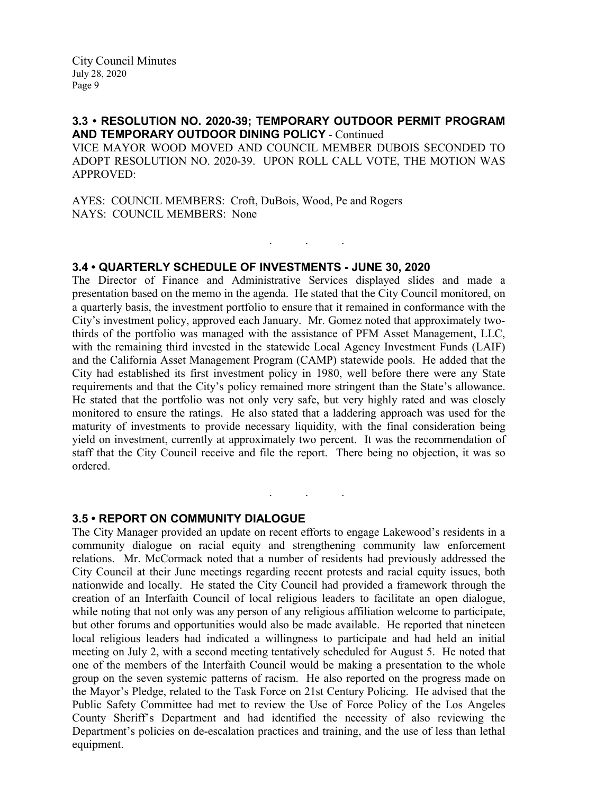## **3.3 • RESOLUTION NO. 2020-39; TEMPORARY OUTDOOR PERMIT PROGRAM AND TEMPORARY OUTDOOR DINING POLICY** - Continued

VICE MAYOR WOOD MOVED AND COUNCIL MEMBER DUBOIS SECONDED TO ADOPT RESOLUTION NO. 2020-39. UPON ROLL CALL VOTE, THE MOTION WAS APPROVED:

. . .

AYES: COUNCIL MEMBERS: Croft, DuBois, Wood, Pe and Rogers NAYS: COUNCIL MEMBERS: None

### **3.4 • QUARTERLY SCHEDULE OF INVESTMENTS - JUNE 30, 2020**

The Director of Finance and Administrative Services displayed slides and made a presentation based on the memo in the agenda. He stated that the City Council monitored, on a quarterly basis, the investment portfolio to ensure that it remained in conformance with the City's investment policy, approved each January. Mr. Gomez noted that approximately twothirds of the portfolio was managed with the assistance of PFM Asset Management, LLC, with the remaining third invested in the statewide Local Agency Investment Funds (LAIF) and the California Asset Management Program (CAMP) statewide pools. He added that the City had established its first investment policy in 1980, well before there were any State requirements and that the City's policy remained more stringent than the State's allowance. He stated that the portfolio was not only very safe, but very highly rated and was closely monitored to ensure the ratings. He also stated that a laddering approach was used for the maturity of investments to provide necessary liquidity, with the final consideration being yield on investment, currently at approximately two percent. It was the recommendation of staff that the City Council receive and file the report. There being no objection, it was so ordered.

. . .

### **3.5 • REPORT ON COMMUNITY DIALOGUE**

The City Manager provided an update on recent efforts to engage Lakewood's residents in a community dialogue on racial equity and strengthening community law enforcement relations. Mr. McCormack noted that a number of residents had previously addressed the City Council at their June meetings regarding recent protests and racial equity issues, both nationwide and locally. He stated the City Council had provided a framework through the creation of an Interfaith Council of local religious leaders to facilitate an open dialogue, while noting that not only was any person of any religious affiliation welcome to participate, but other forums and opportunities would also be made available. He reported that nineteen local religious leaders had indicated a willingness to participate and had held an initial meeting on July 2, with a second meeting tentatively scheduled for August 5. He noted that one of the members of the Interfaith Council would be making a presentation to the whole group on the seven systemic patterns of racism. He also reported on the progress made on the Mayor's Pledge, related to the Task Force on 21st Century Policing. He advised that the Public Safety Committee had met to review the Use of Force Policy of the Los Angeles County Sheriff's Department and had identified the necessity of also reviewing the Department's policies on de-escalation practices and training, and the use of less than lethal equipment.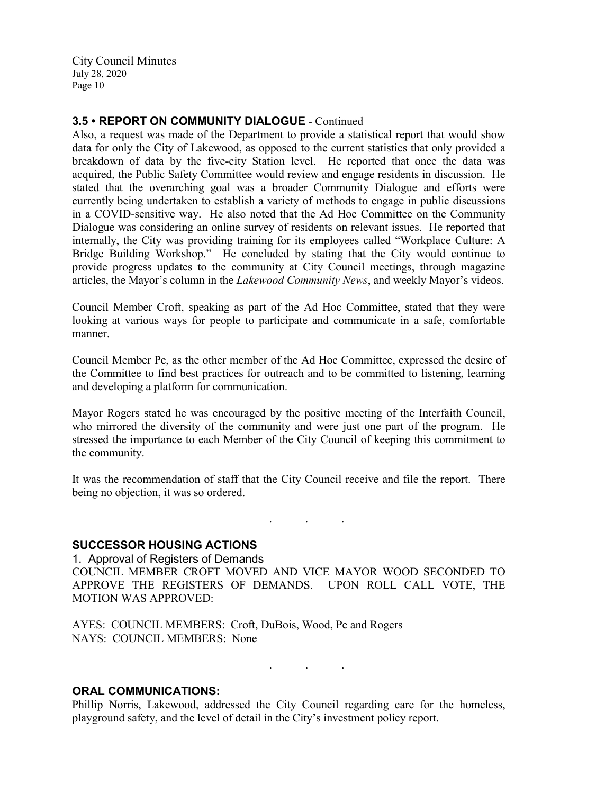### **3.5 • REPORT ON COMMUNITY DIALOGUE** - Continued

Also, a request was made of the Department to provide a statistical report that would show data for only the City of Lakewood, as opposed to the current statistics that only provided a breakdown of data by the five-city Station level. He reported that once the data was acquired, the Public Safety Committee would review and engage residents in discussion. He stated that the overarching goal was a broader Community Dialogue and efforts were currently being undertaken to establish a variety of methods to engage in public discussions in a COVID-sensitive way. He also noted that the Ad Hoc Committee on the Community Dialogue was considering an online survey of residents on relevant issues. He reported that internally, the City was providing training for its employees called "Workplace Culture: A Bridge Building Workshop." He concluded by stating that the City would continue to provide progress updates to the community at City Council meetings, through magazine articles, the Mayor's column in the *Lakewood Community News*, and weekly Mayor's videos.

Council Member Croft, speaking as part of the Ad Hoc Committee, stated that they were looking at various ways for people to participate and communicate in a safe, comfortable manner.

Council Member Pe, as the other member of the Ad Hoc Committee, expressed the desire of the Committee to find best practices for outreach and to be committed to listening, learning and developing a platform for communication.

Mayor Rogers stated he was encouraged by the positive meeting of the Interfaith Council, who mirrored the diversity of the community and were just one part of the program. He stressed the importance to each Member of the City Council of keeping this commitment to the community.

It was the recommendation of staff that the City Council receive and file the report. There being no objection, it was so ordered.

. . .

#### **SUCCESSOR HOUSING ACTIONS**

1. Approval of Registers of Demands COUNCIL MEMBER CROFT MOVED AND VICE MAYOR WOOD SECONDED TO APPROVE THE REGISTERS OF DEMANDS. UPON ROLL CALL VOTE, THE MOTION WAS APPROVED:

AYES: COUNCIL MEMBERS: Croft, DuBois, Wood, Pe and Rogers NAYS: COUNCIL MEMBERS: None

. . .

#### **ORAL COMMUNICATIONS:**

Phillip Norris, Lakewood, addressed the City Council regarding care for the homeless, playground safety, and the level of detail in the City's investment policy report.